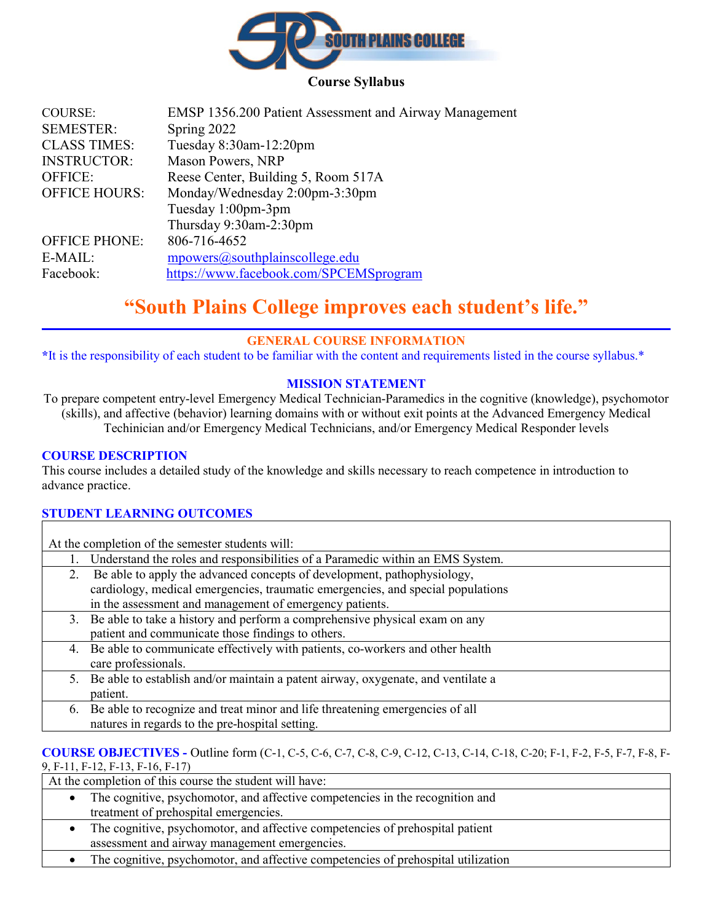

#### **Course Syllabus**

| <b>COURSE:</b>       | EMSP 1356.200 Patient Assessment and Airway Management |
|----------------------|--------------------------------------------------------|
| <b>SEMESTER:</b>     | Spring 2022                                            |
| <b>CLASS TIMES:</b>  | Tuesday 8:30am-12:20pm                                 |
| <b>INSTRUCTOR:</b>   | Mason Powers, NRP                                      |
| <b>OFFICE:</b>       | Reese Center, Building 5, Room 517A                    |
| <b>OFFICE HOURS:</b> | Monday/Wednesday 2:00pm-3:30pm                         |
|                      | Tuesday 1:00pm-3pm                                     |
|                      | Thursday 9:30am-2:30pm                                 |
| <b>OFFICE PHONE:</b> | 806-716-4652                                           |
| E-MAIL:              | mpowers@southplainscollege.edu                         |
| Facebook:            | https://www.facebook.com/SPCEMSprogram                 |
|                      |                                                        |

# **"South Plains College improves each student's life."**

## **GENERAL COURSE INFORMATION**

**\***It is the responsibility of each student to be familiar with the content and requirements listed in the course syllabus.\*

## **MISSION STATEMENT**

To prepare competent entry-level Emergency Medical Technician-Paramedics in the cognitive (knowledge), psychomotor (skills), and affective (behavior) learning domains with or without exit points at the Advanced Emergency Medical Techinician and/or Emergency Medical Technicians, and/or Emergency Medical Responder levels

#### **COURSE DESCRIPTION**

This course includes a detailed study of the knowledge and skills necessary to reach competence in introduction to advance practice.

#### **STUDENT LEARNING OUTCOMES**

At the completion of the semester students will:

- 1. Understand the roles and responsibilities of a Paramedic within an EMS System.
- 2. Be able to apply the advanced concepts of development, pathophysiology, cardiology, medical emergencies, traumatic emergencies, and special populations in the assessment and management of emergency patients.
- 3. Be able to take a history and perform a comprehensive physical exam on any patient and communicate those findings to others.
- 4. Be able to communicate effectively with patients, co-workers and other health care professionals.
- 5. Be able to establish and/or maintain a patent airway, oxygenate, and ventilate a patient.
- 6. Be able to recognize and treat minor and life threatening emergencies of all natures in regards to the pre-hospital setting.

## **COURSE OBJECTIVES -** Outline form (C-1, C-5, C-6, C-7, C-8, C-9, C-12, C-13, C-14, C-18, C-20; F-1, F-2, F-5, F-7, F-8, F-

9, F-11, F-12, F-13, F-16, F-17)

At the completion of this course the student will have:

- The cognitive, psychomotor, and affective competencies in the recognition and treatment of prehospital emergencies.
- The cognitive, psychomotor, and affective competencies of prehospital patient assessment and airway management emergencies.
- The cognitive, psychomotor, and affective competencies of prehospital utilization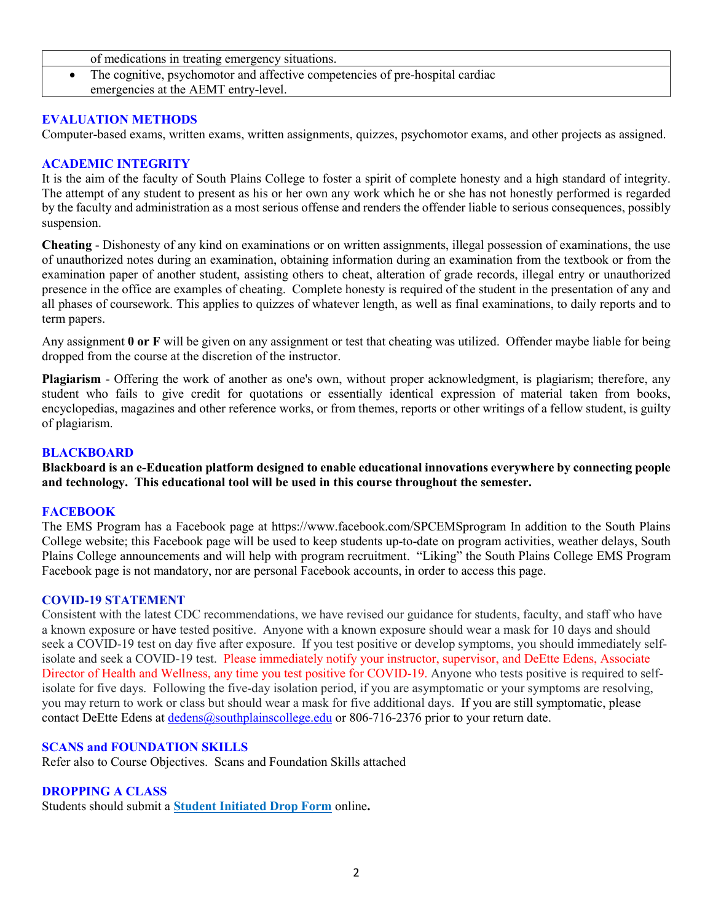- of medications in treating emergency situations.
- The cognitive, psychomotor and affective competencies of pre-hospital cardiac emergencies at the AEMT entry-level.

#### **EVALUATION METHODS**

Computer-based exams, written exams, written assignments, quizzes, psychomotor exams, and other projects as assigned.

## **ACADEMIC INTEGRITY**

It is the aim of the faculty of South Plains College to foster a spirit of complete honesty and a high standard of integrity. The attempt of any student to present as his or her own any work which he or she has not honestly performed is regarded by the faculty and administration as a most serious offense and renders the offender liable to serious consequences, possibly suspension.

**Cheating** - Dishonesty of any kind on examinations or on written assignments, illegal possession of examinations, the use of unauthorized notes during an examination, obtaining information during an examination from the textbook or from the examination paper of another student, assisting others to cheat, alteration of grade records, illegal entry or unauthorized presence in the office are examples of cheating. Complete honesty is required of the student in the presentation of any and all phases of coursework. This applies to quizzes of whatever length, as well as final examinations, to daily reports and to term papers.

Any assignment **0 or F** will be given on any assignment or test that cheating was utilized. Offender maybe liable for being dropped from the course at the discretion of the instructor.

**Plagiarism** - Offering the work of another as one's own, without proper acknowledgment, is plagiarism; therefore, any student who fails to give credit for quotations or essentially identical expression of material taken from books, encyclopedias, magazines and other reference works, or from themes, reports or other writings of a fellow student, is guilty of plagiarism.

#### **BLACKBOARD**

**Blackboard is an e-Education platform designed to enable educational innovations everywhere by connecting people and technology. This educational tool will be used in this course throughout the semester.** 

#### **FACEBOOK**

The EMS Program has a Facebook page at https://www.facebook.com/SPCEMSprogram In addition to the South Plains College website; this Facebook page will be used to keep students up-to-date on program activities, weather delays, South Plains College announcements and will help with program recruitment. "Liking" the South Plains College EMS Program Facebook page is not mandatory, nor are personal Facebook accounts, in order to access this page.

#### **COVID-19 STATEMENT**

Consistent with the latest CDC recommendations, we have revised our guidance for students, faculty, and staff who have a known exposure or have tested positive. Anyone with a known exposure should wear a mask for 10 days and should seek a COVID-19 test on day five after exposure. If you test positive or develop symptoms, you should immediately selfisolate and seek a COVID-19 test. Please immediately notify your instructor, supervisor, and DeEtte Edens, Associate Director of Health and Wellness, any time you test positive for COVID-19. Anyone who tests positive is required to selfisolate for five days. Following the five-day isolation period, if you are asymptomatic or your symptoms are resolving, you may return to work or class but should wear a mask for five additional days. If you are still symptomatic, please contact DeEtte Edens at [dedens@southplainscollege.edu](mailto:dedens@southplainscollege.edu) or 806-716-2376 prior to your return date.

#### **SCANS and FOUNDATION SKILLS**

Refer also to Course Objectives. Scans and Foundation Skills attached

#### **DROPPING A CLASS**

Students should submit a **[Student Initiated Drop Form](https://forms.office.com/Pages/ResponsePage.aspx?id=ZrGRbWrP6UWeIqAmJdCCqRkmPIpp6AVCixFJfcqITt9UODExTUFXS0JOODhJOTlYM0NEV1kzRk9GMS4u)** online**.**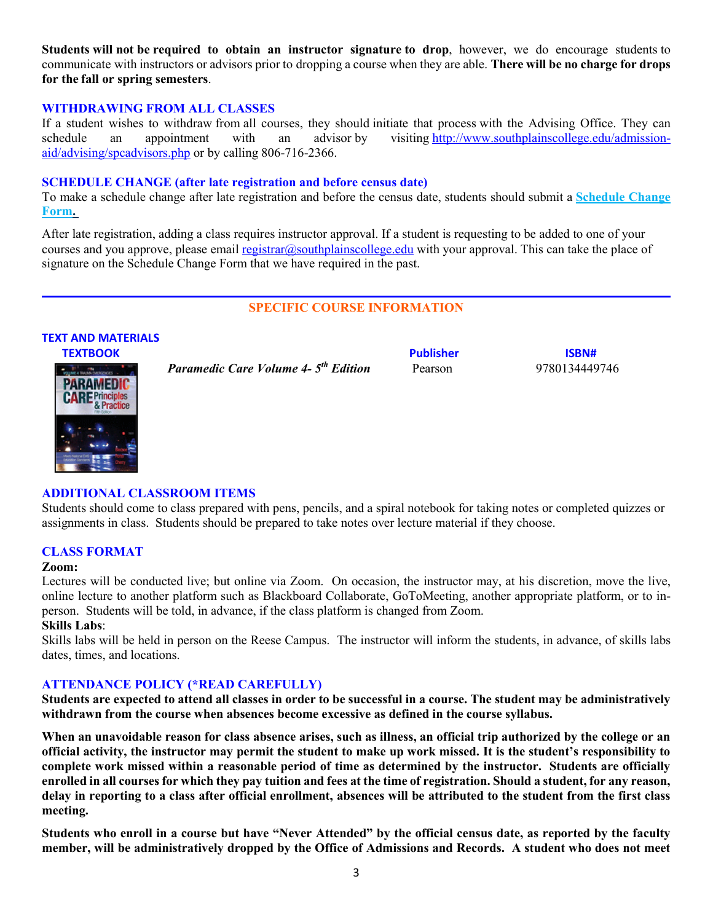**Students will not be required to obtain an instructor signature to drop**, however, we do encourage students to communicate with instructors or advisors prior to dropping a course when they are able. **There will be no charge for drops for the fall or spring semesters**.

#### **WITHDRAWING FROM ALL CLASSES**

If a student wishes to withdraw from all courses, they should initiate that process with the Advising Office. They can schedule an appointment with an advisor by visiting [http://www.southplainscollege.edu/admission](http://www.southplainscollege.edu/admission-aid/advising/spcadvisors.php)[aid/advising/spcadvisors.php](http://www.southplainscollege.edu/admission-aid/advising/spcadvisors.php) or by calling 806-716-2366.

#### **SCHEDULE CHANGE (after late registration and before census date)**

To make a schedule change after late registration and before the census date, students should submit a **[Schedule Change](https://forms.office.com/Pages/ResponsePage.aspx?id=ZrGRbWrP6UWeIqAmJdCCqRkmPIpp6AVCixFJfcqITt9UODIyTkRZSkFHVDNSVFRFV0g0T0tVWVAwRi4u)  [Form.](https://forms.office.com/Pages/ResponsePage.aspx?id=ZrGRbWrP6UWeIqAmJdCCqRkmPIpp6AVCixFJfcqITt9UODIyTkRZSkFHVDNSVFRFV0g0T0tVWVAwRi4u)**

After late registration, adding a class requires instructor approval. If a student is requesting to be added to one of your courses and you approve, please email [registrar@southplainscollege.edu](mailto:registrar@southplainscollege.edu) with your approval. This can take the place of signature on the Schedule Change Form that we have required in the past.

## **SPECIFIC COURSE INFORMATION**

#### **TEXT AND MATERIALS**



 *Paramedic Care Volume 4- 5th Edition* Pearson 9780134449746

**TEXTBOOK ISBN#** 

#### **ADDITIONAL CLASSROOM ITEMS**

Students should come to class prepared with pens, pencils, and a spiral notebook for taking notes or completed quizzes or assignments in class. Students should be prepared to take notes over lecture material if they choose.

#### **CLASS FORMAT**

#### **Zoom:**

Lectures will be conducted live; but online via Zoom. On occasion, the instructor may, at his discretion, move the live, online lecture to another platform such as Blackboard Collaborate, GoToMeeting, another appropriate platform, or to inperson. Students will be told, in advance, if the class platform is changed from Zoom.

## **Skills Labs**:

Skills labs will be held in person on the Reese Campus. The instructor will inform the students, in advance, of skills labs dates, times, and locations.

#### **ATTENDANCE POLICY (\*READ CAREFULLY)**

**Students are expected to attend all classes in order to be successful in a course. The student may be administratively withdrawn from the course when absences become excessive as defined in the course syllabus.** 

**When an unavoidable reason for class absence arises, such as illness, an official trip authorized by the college or an official activity, the instructor may permit the student to make up work missed. It is the student's responsibility to complete work missed within a reasonable period of time as determined by the instructor. Students are officially enrolled in all courses for which they pay tuition and fees at the time of registration. Should a student, for any reason, delay in reporting to a class after official enrollment, absences will be attributed to the student from the first class meeting.**

**Students who enroll in a course but have "Never Attended" by the official census date, as reported by the faculty member, will be administratively dropped by the Office of Admissions and Records. A student who does not meet**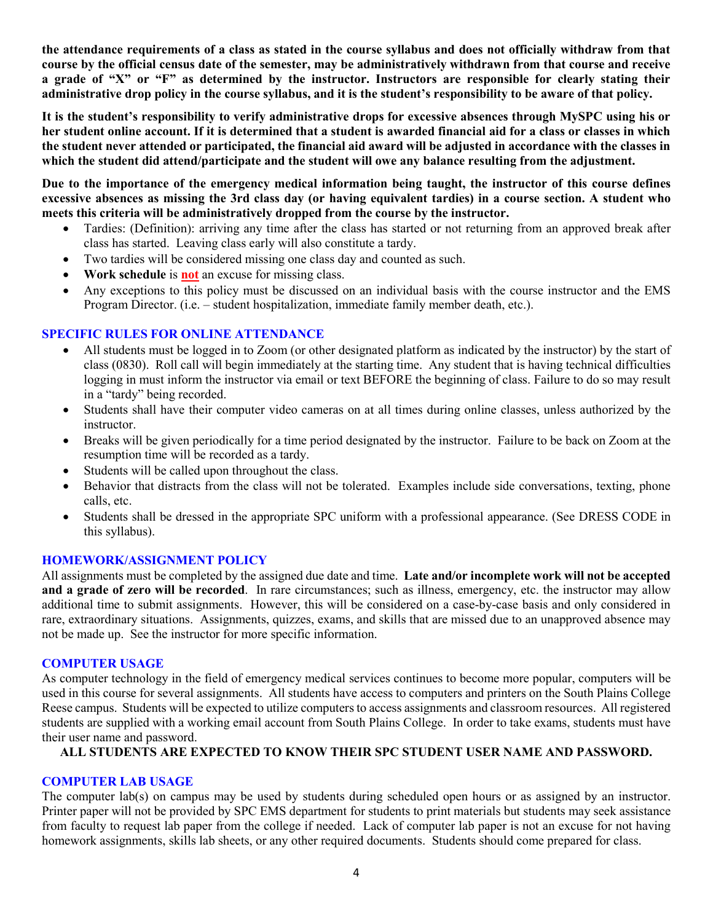**the attendance requirements of a class as stated in the course syllabus and does not officially withdraw from that course by the official census date of the semester, may be administratively withdrawn from that course and receive a grade of "X" or "F" as determined by the instructor. Instructors are responsible for clearly stating their administrative drop policy in the course syllabus, and it is the student's responsibility to be aware of that policy.** 

**It is the student's responsibility to verify administrative drops for excessive absences through MySPC using his or her student online account. If it is determined that a student is awarded financial aid for a class or classes in which the student never attended or participated, the financial aid award will be adjusted in accordance with the classes in which the student did attend/participate and the student will owe any balance resulting from the adjustment.**

**Due to the importance of the emergency medical information being taught, the instructor of this course defines excessive absences as missing the 3rd class day (or having equivalent tardies) in a course section. A student who meets this criteria will be administratively dropped from the course by the instructor.** 

- Tardies: (Definition): arriving any time after the class has started or not returning from an approved break after class has started. Leaving class early will also constitute a tardy.
- Two tardies will be considered missing one class day and counted as such.
- **Work schedule** is **not** an excuse for missing class.
- Any exceptions to this policy must be discussed on an individual basis with the course instructor and the EMS Program Director. (i.e. – student hospitalization, immediate family member death, etc.).

#### **SPECIFIC RULES FOR ONLINE ATTENDANCE**

- All students must be logged in to Zoom (or other designated platform as indicated by the instructor) by the start of class (0830). Roll call will begin immediately at the starting time. Any student that is having technical difficulties logging in must inform the instructor via email or text BEFORE the beginning of class. Failure to do so may result in a "tardy" being recorded.
- Students shall have their computer video cameras on at all times during online classes, unless authorized by the instructor.
- Breaks will be given periodically for a time period designated by the instructor. Failure to be back on Zoom at the resumption time will be recorded as a tardy.
- Students will be called upon throughout the class.
- Behavior that distracts from the class will not be tolerated. Examples include side conversations, texting, phone calls, etc.
- Students shall be dressed in the appropriate SPC uniform with a professional appearance. (See DRESS CODE in this syllabus).

#### **HOMEWORK/ASSIGNMENT POLICY**

All assignments must be completed by the assigned due date and time. **Late and/or incomplete work will not be accepted and a grade of zero will be recorded**. In rare circumstances; such as illness, emergency, etc. the instructor may allow additional time to submit assignments. However, this will be considered on a case-by-case basis and only considered in rare, extraordinary situations. Assignments, quizzes, exams, and skills that are missed due to an unapproved absence may not be made up. See the instructor for more specific information.

#### **COMPUTER USAGE**

As computer technology in the field of emergency medical services continues to become more popular, computers will be used in this course for several assignments. All students have access to computers and printers on the South Plains College Reese campus. Students will be expected to utilize computers to access assignments and classroom resources. All registered students are supplied with a working email account from South Plains College. In order to take exams, students must have their user name and password.

#### **ALL STUDENTS ARE EXPECTED TO KNOW THEIR SPC STUDENT USER NAME AND PASSWORD.**

#### **COMPUTER LAB USAGE**

The computer lab(s) on campus may be used by students during scheduled open hours or as assigned by an instructor. Printer paper will not be provided by SPC EMS department for students to print materials but students may seek assistance from faculty to request lab paper from the college if needed. Lack of computer lab paper is not an excuse for not having homework assignments, skills lab sheets, or any other required documents. Students should come prepared for class.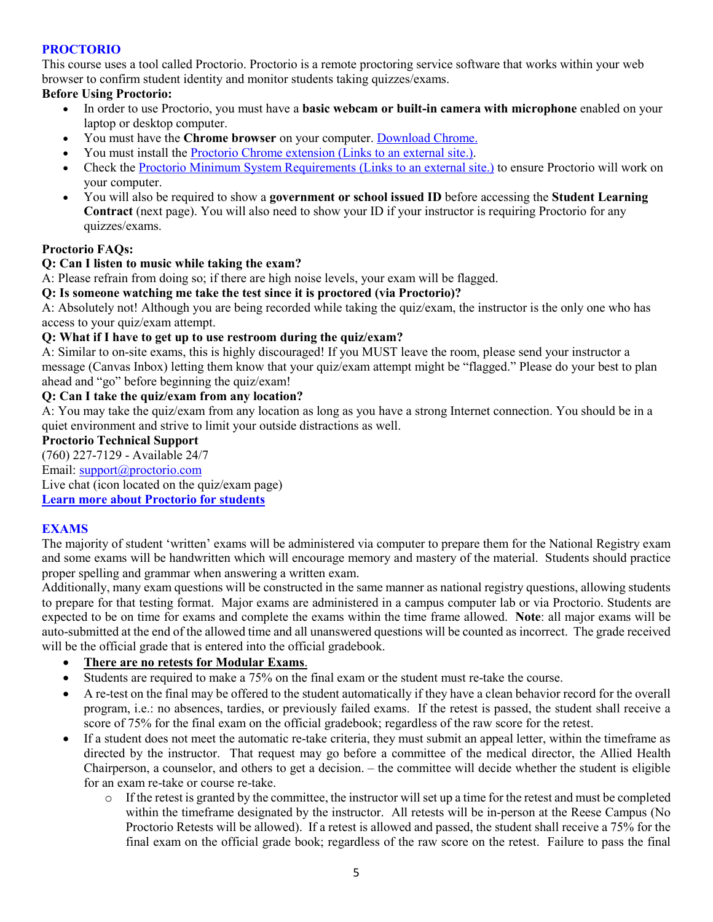## **PROCTORIO**

This course uses a tool called Proctorio. Proctorio is a remote proctoring service software that works within your web browser to confirm student identity and monitor students taking quizzes/exams.

## **Before Using Proctorio:**

- In order to use Proctorio, you must have a **basic webcam or built-in camera with microphone** enabled on your laptop or desktop computer.
- You must have the **Chrome browser** on your computer. [Download Chrome.](https://www.google.com/chrome/browser/)
- You must install the [Proctorio Chrome extension](https://getproctorio.com/) (Links to an external site.).
- Check the [Proctorio Minimum System Requirements](https://proctorio.com/system-requirements) (Links to an external site.) to ensure Proctorio will work on your computer.
- You will also be required to show a **government or school issued ID** before accessing the **Student Learning Contract** (next page). You will also need to show your ID if your instructor is requiring Proctorio for any quizzes/exams.

## **Proctorio FAQs:**

#### **Q: Can I listen to music while taking the exam?**

A: Please refrain from doing so; if there are high noise levels, your exam will be flagged.

#### **Q: Is someone watching me take the test since it is proctored (via Proctorio)?**

A: Absolutely not! Although you are being recorded while taking the quiz/exam, the instructor is the only one who has access to your quiz/exam attempt.

#### **Q: What if I have to get up to use restroom during the quiz/exam?**

A: Similar to on-site exams, this is highly discouraged! If you MUST leave the room, please send your instructor a message (Canvas Inbox) letting them know that your quiz/exam attempt might be "flagged." Please do your best to plan ahead and "go" before beginning the quiz/exam!

#### **Q: Can I take the quiz/exam from any location?**

A: You may take the quiz/exam from any location as long as you have a strong Internet connection. You should be in a quiet environment and strive to limit your outside distractions as well.

#### **Proctorio Technical Support**

(760) 227-7129 - Available 24/7 Email: [support@proctorio.com](mailto:support@proctorio.com) Live chat (icon located on the quiz/exam page)

**[Learn more about Proctorio for students](https://proctorio.com/students)**

#### **EXAMS**

The majority of student 'written' exams will be administered via computer to prepare them for the National Registry exam and some exams will be handwritten which will encourage memory and mastery of the material. Students should practice proper spelling and grammar when answering a written exam.

Additionally, many exam questions will be constructed in the same manner as national registry questions, allowing students to prepare for that testing format. Major exams are administered in a campus computer lab or via Proctorio. Students are expected to be on time for exams and complete the exams within the time frame allowed. **Note**: all major exams will be auto-submitted at the end of the allowed time and all unanswered questions will be counted as incorrect. The grade received will be the official grade that is entered into the official gradebook.

#### • **There are no retests for Modular Exams**.

- Students are required to make a 75% on the final exam or the student must re-take the course.
- A re-test on the final may be offered to the student automatically if they have a clean behavior record for the overall program, i.e.: no absences, tardies, or previously failed exams. If the retest is passed, the student shall receive a score of 75% for the final exam on the official gradebook; regardless of the raw score for the retest.
- If a student does not meet the automatic re-take criteria, they must submit an appeal letter, within the timeframe as directed by the instructor. That request may go before a committee of the medical director, the Allied Health Chairperson, a counselor, and others to get a decision. – the committee will decide whether the student is eligible for an exam re-take or course re-take.
	- $\circ$  If the retest is granted by the committee, the instructor will set up a time for the retest and must be completed within the timeframe designated by the instructor. All retests will be in-person at the Reese Campus (No Proctorio Retests will be allowed). If a retest is allowed and passed, the student shall receive a 75% for the final exam on the official grade book; regardless of the raw score on the retest. Failure to pass the final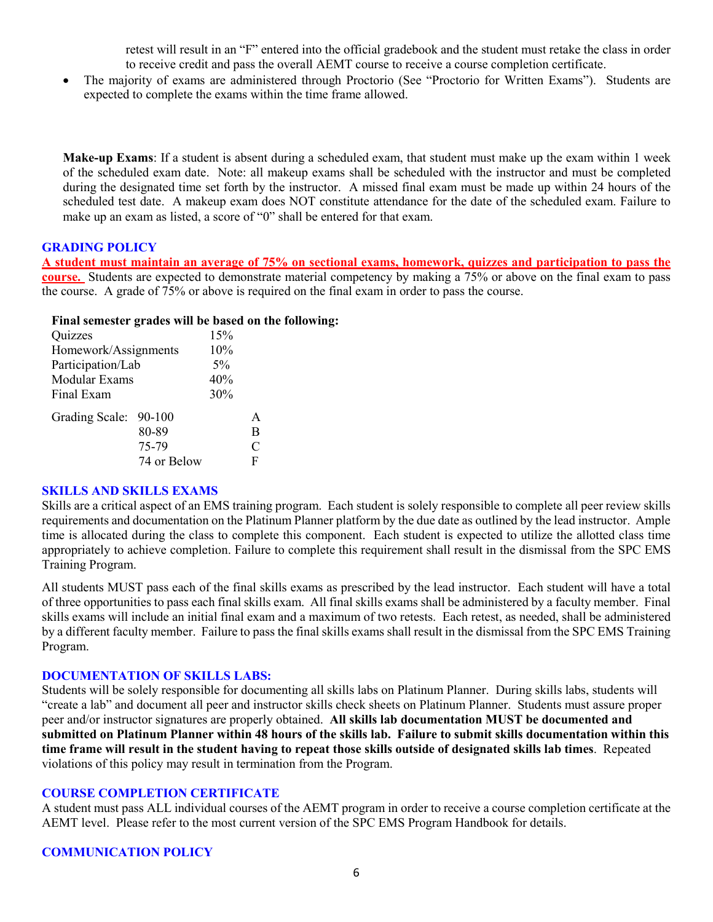retest will result in an "F" entered into the official gradebook and the student must retake the class in order to receive credit and pass the overall AEMT course to receive a course completion certificate.

• The majority of exams are administered through Proctorio (See "Proctorio for Written Exams"). Students are expected to complete the exams within the time frame allowed.

**Make-up Exams**: If a student is absent during a scheduled exam, that student must make up the exam within 1 week of the scheduled exam date. Note: all makeup exams shall be scheduled with the instructor and must be completed during the designated time set forth by the instructor. A missed final exam must be made up within 24 hours of the scheduled test date. A makeup exam does NOT constitute attendance for the date of the scheduled exam. Failure to make up an exam as listed, a score of "0" shall be entered for that exam.

#### **GRADING POLICY**

**A student must maintain an average of 75% on sectional exams, homework, quizzes and participation to pass the course.** Students are expected to demonstrate material competency by making a 75% or above on the final exam to pass the course. A grade of 75% or above is required on the final exam in order to pass the course.

#### **Final semester grades will be based on the following:**

| Quizzes               |             | 15% |               |
|-----------------------|-------------|-----|---------------|
| Homework/Assignments  | 10%         |     |               |
| Participation/Lab     | $5\%$       |     |               |
| Modular Exams         | 40%         |     |               |
| Final Exam            | 30%         |     |               |
| Grading Scale: 90-100 |             |     | A             |
|                       | 80-89       |     | B             |
|                       | 75-79       |     | $\mathcal{C}$ |
|                       | 74 or Below |     | F             |

#### **SKILLS AND SKILLS EXAMS**

Skills are a critical aspect of an EMS training program. Each student is solely responsible to complete all peer review skills requirements and documentation on the Platinum Planner platform by the due date as outlined by the lead instructor. Ample time is allocated during the class to complete this component. Each student is expected to utilize the allotted class time appropriately to achieve completion. Failure to complete this requirement shall result in the dismissal from the SPC EMS Training Program.

All students MUST pass each of the final skills exams as prescribed by the lead instructor. Each student will have a total of three opportunities to pass each final skills exam. All final skills exams shall be administered by a faculty member. Final skills exams will include an initial final exam and a maximum of two retests. Each retest, as needed, shall be administered by a different faculty member. Failure to pass the final skills exams shall result in the dismissal from the SPC EMS Training Program.

#### **DOCUMENTATION OF SKILLS LABS:**

Students will be solely responsible for documenting all skills labs on Platinum Planner. During skills labs, students will "create a lab" and document all peer and instructor skills check sheets on Platinum Planner. Students must assure proper peer and/or instructor signatures are properly obtained. **All skills lab documentation MUST be documented and submitted on Platinum Planner within 48 hours of the skills lab. Failure to submit skills documentation within this time frame will result in the student having to repeat those skills outside of designated skills lab times**. Repeated violations of this policy may result in termination from the Program.

#### **COURSE COMPLETION CERTIFICATE**

A student must pass ALL individual courses of the AEMT program in order to receive a course completion certificate at the AEMT level. Please refer to the most current version of the SPC EMS Program Handbook for details.

## **COMMUNICATION POLICY**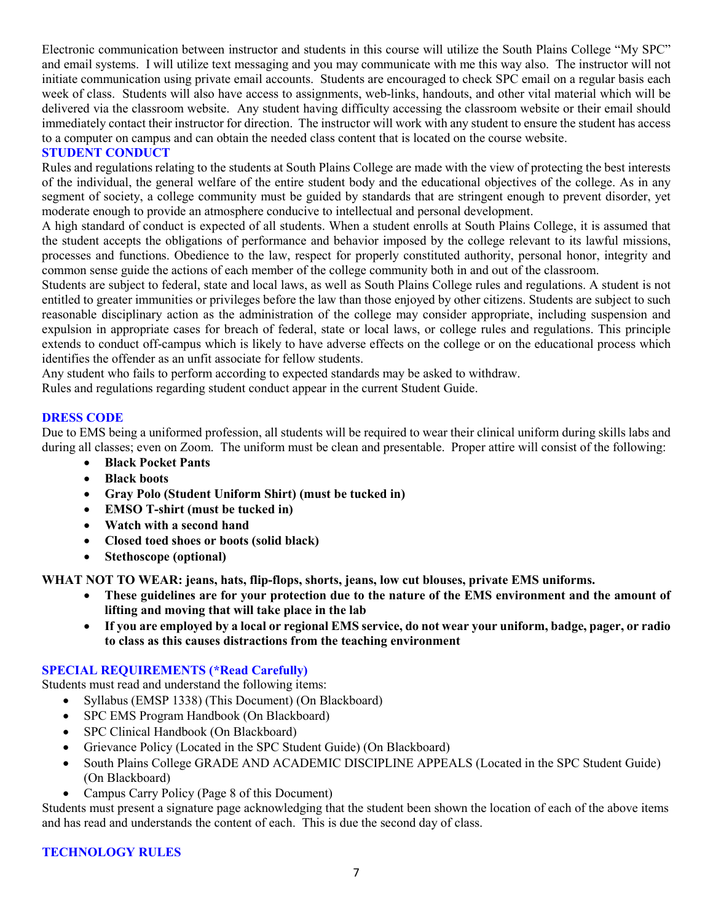Electronic communication between instructor and students in this course will utilize the South Plains College "My SPC" and email systems. I will utilize text messaging and you may communicate with me this way also. The instructor will not initiate communication using private email accounts. Students are encouraged to check SPC email on a regular basis each week of class. Students will also have access to assignments, web-links, handouts, and other vital material which will be delivered via the classroom website. Any student having difficulty accessing the classroom website or their email should immediately contact their instructor for direction. The instructor will work with any student to ensure the student has access to a computer on campus and can obtain the needed class content that is located on the course website.

#### **STUDENT CONDUCT**

Rules and regulations relating to the students at South Plains College are made with the view of protecting the best interests of the individual, the general welfare of the entire student body and the educational objectives of the college. As in any segment of society, a college community must be guided by standards that are stringent enough to prevent disorder, yet moderate enough to provide an atmosphere conducive to intellectual and personal development.

A high standard of conduct is expected of all students. When a student enrolls at South Plains College, it is assumed that the student accepts the obligations of performance and behavior imposed by the college relevant to its lawful missions, processes and functions. Obedience to the law, respect for properly constituted authority, personal honor, integrity and common sense guide the actions of each member of the college community both in and out of the classroom.

Students are subject to federal, state and local laws, as well as South Plains College rules and regulations. A student is not entitled to greater immunities or privileges before the law than those enjoyed by other citizens. Students are subject to such reasonable disciplinary action as the administration of the college may consider appropriate, including suspension and expulsion in appropriate cases for breach of federal, state or local laws, or college rules and regulations. This principle extends to conduct off-campus which is likely to have adverse effects on the college or on the educational process which identifies the offender as an unfit associate for fellow students.

Any student who fails to perform according to expected standards may be asked to withdraw.

Rules and regulations regarding student conduct appear in the current Student Guide.

#### **DRESS CODE**

Due to EMS being a uniformed profession, all students will be required to wear their clinical uniform during skills labs and during all classes; even on Zoom. The uniform must be clean and presentable. Proper attire will consist of the following:

- **Black Pocket Pants**
- **Black boots**
- **Gray Polo (Student Uniform Shirt) (must be tucked in)**
- **EMSO T-shirt (must be tucked in)**
- **Watch with a second hand**
- **Closed toed shoes or boots (solid black)**
- **Stethoscope (optional)**

**WHAT NOT TO WEAR: jeans, hats, flip-flops, shorts, jeans, low cut blouses, private EMS uniforms.**

- **These guidelines are for your protection due to the nature of the EMS environment and the amount of lifting and moving that will take place in the lab**
- **If you are employed by a local or regional EMS service, do not wear your uniform, badge, pager, or radio to class as this causes distractions from the teaching environment**

#### **SPECIAL REQUIREMENTS (\*Read Carefully)**

Students must read and understand the following items:

- Syllabus (EMSP 1338) (This Document) (On Blackboard)
- SPC EMS Program Handbook (On Blackboard)
- SPC Clinical Handbook (On Blackboard)
- Grievance Policy (Located in the SPC Student Guide) (On Blackboard)
- South Plains College GRADE AND ACADEMIC DISCIPLINE APPEALS (Located in the SPC Student Guide) (On Blackboard)
- Campus Carry Policy (Page 8 of this Document)

Students must present a signature page acknowledging that the student been shown the location of each of the above items and has read and understands the content of each. This is due the second day of class.

#### **TECHNOLOGY RULES**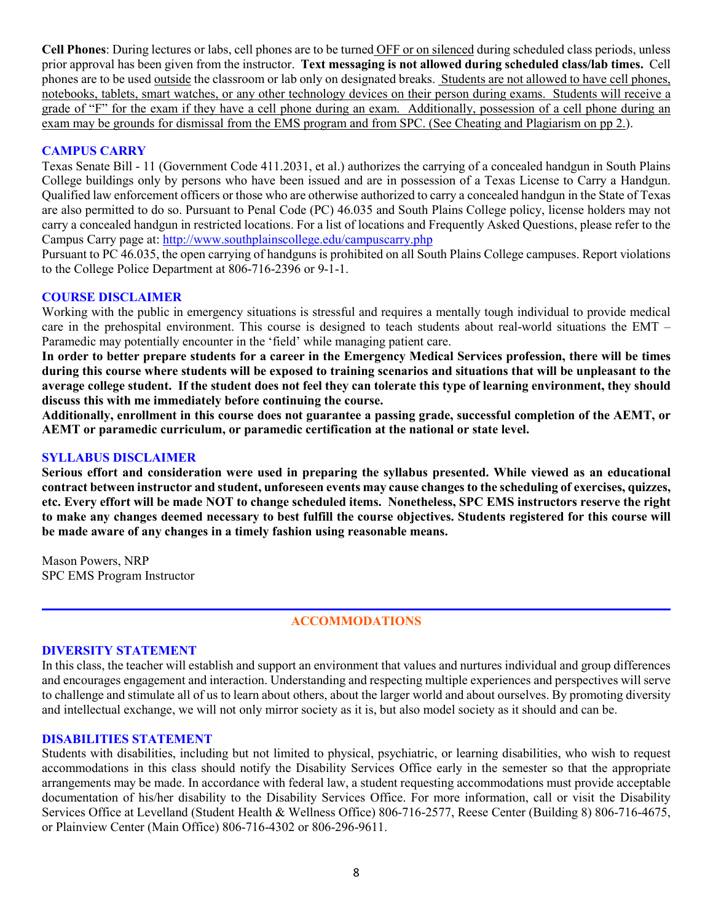**Cell Phones**: During lectures or labs, cell phones are to be turned OFF or on silenced during scheduled class periods, unless prior approval has been given from the instructor. **Text messaging is not allowed during scheduled class/lab times.** Cell phones are to be used outside the classroom or lab only on designated breaks. Students are not allowed to have cell phones, notebooks, tablets, smart watches, or any other technology devices on their person during exams. Students will receive a grade of "F" for the exam if they have a cell phone during an exam. Additionally, possession of a cell phone during an exam may be grounds for dismissal from the EMS program and from SPC. (See Cheating and Plagiarism on pp 2.).

#### **CAMPUS CARRY**

Texas Senate Bill - 11 (Government Code 411.2031, et al.) authorizes the carrying of a concealed handgun in South Plains College buildings only by persons who have been issued and are in possession of a Texas License to Carry a Handgun. Qualified law enforcement officers or those who are otherwise authorized to carry a concealed handgun in the State of Texas are also permitted to do so. Pursuant to Penal Code (PC) 46.035 and South Plains College policy, license holders may not carry a concealed handgun in restricted locations. For a list of locations and Frequently Asked Questions, please refer to the Campus Carry page at: <http://www.southplainscollege.edu/campuscarry.php>

Pursuant to PC 46.035, the open carrying of handguns is prohibited on all South Plains College campuses. Report violations to the College Police Department at 806-716-2396 or 9-1-1.

#### **COURSE DISCLAIMER**

Working with the public in emergency situations is stressful and requires a mentally tough individual to provide medical care in the prehospital environment. This course is designed to teach students about real-world situations the EMT – Paramedic may potentially encounter in the 'field' while managing patient care.

**In order to better prepare students for a career in the Emergency Medical Services profession, there will be times during this course where students will be exposed to training scenarios and situations that will be unpleasant to the average college student. If the student does not feel they can tolerate this type of learning environment, they should discuss this with me immediately before continuing the course.**

**Additionally, enrollment in this course does not guarantee a passing grade, successful completion of the AEMT, or AEMT or paramedic curriculum, or paramedic certification at the national or state level.** 

#### **SYLLABUS DISCLAIMER**

**Serious effort and consideration were used in preparing the syllabus presented. While viewed as an educational contract between instructor and student, unforeseen events may cause changes to the scheduling of exercises, quizzes, etc. Every effort will be made NOT to change scheduled items. Nonetheless, SPC EMS instructors reserve the right to make any changes deemed necessary to best fulfill the course objectives. Students registered for this course will be made aware of any changes in a timely fashion using reasonable means.** 

Mason Powers, NRP SPC EMS Program Instructor

## **ACCOMMODATIONS**

#### **DIVERSITY STATEMENT**

In this class, the teacher will establish and support an environment that values and nurtures individual and group differences and encourages engagement and interaction. Understanding and respecting multiple experiences and perspectives will serve to challenge and stimulate all of us to learn about others, about the larger world and about ourselves. By promoting diversity and intellectual exchange, we will not only mirror society as it is, but also model society as it should and can be.

#### **DISABILITIES STATEMENT**

Students with disabilities, including but not limited to physical, psychiatric, or learning disabilities, who wish to request accommodations in this class should notify the Disability Services Office early in the semester so that the appropriate arrangements may be made. In accordance with federal law, a student requesting accommodations must provide acceptable documentation of his/her disability to the Disability Services Office. For more information, call or visit the Disability Services Office at Levelland (Student Health & Wellness Office) 806-716-2577, Reese Center (Building 8) 806-716-4675, or Plainview Center (Main Office) 806-716-4302 or 806-296-9611.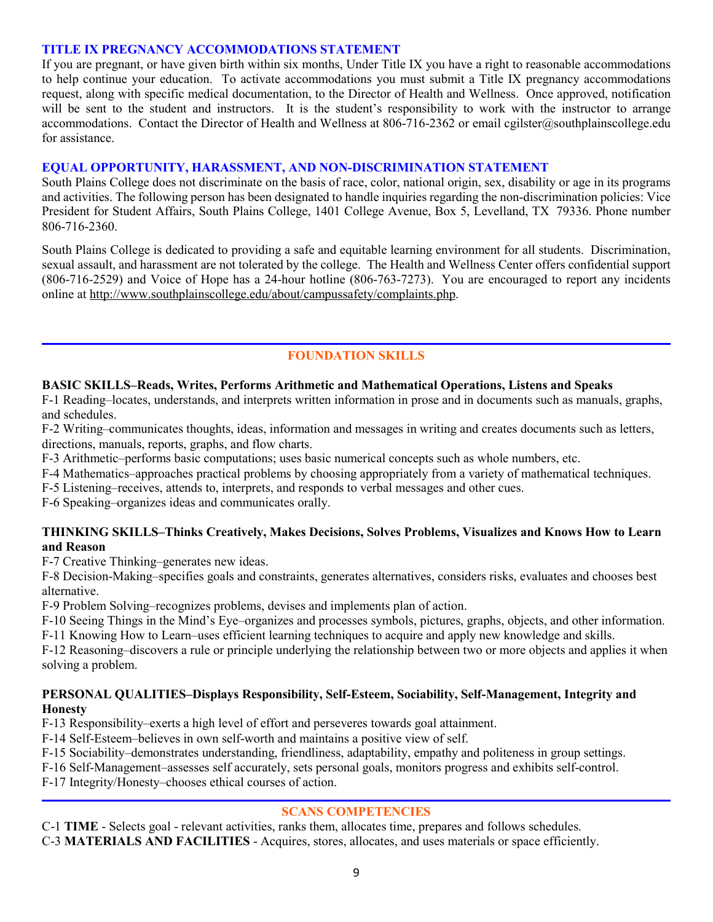#### **TITLE IX PREGNANCY ACCOMMODATIONS STATEMENT**

If you are pregnant, or have given birth within six months, Under Title IX you have a right to reasonable accommodations to help continue your education. To activate accommodations you must submit a Title IX pregnancy accommodations request, along with specific medical documentation, to the Director of Health and Wellness. Once approved, notification will be sent to the student and instructors. It is the student's responsibility to work with the instructor to arrange accommodations. Contact the Director of Health and Wellness at 806-716-2362 or email cgilster@southplainscollege.edu for assistance.

## **EQUAL OPPORTUNITY, HARASSMENT, AND NON-DISCRIMINATION STATEMENT**

South Plains College does not discriminate on the basis of race, color, national origin, sex, disability or age in its programs and activities. The following person has been designated to handle inquiries regarding the non-discrimination policies: Vice President for Student Affairs, South Plains College, 1401 College Avenue, Box 5, Levelland, TX 79336. Phone number 806-716-2360.

South Plains College is dedicated to providing a safe and equitable learning environment for all students. Discrimination, sexual assault, and harassment are not tolerated by the college. The Health and Wellness Center offers confidential support (806-716-2529) and Voice of Hope has a 24-hour hotline (806-763-7273). You are encouraged to report any incidents online at [http://www.southplainscollege.edu/about/campussafety/complaints.php.](http://www.southplainscollege.edu/about/campussafety/complaints.php)

## **FOUNDATION SKILLS**

## **BASIC SKILLS–Reads, Writes, Performs Arithmetic and Mathematical Operations, Listens and Speaks**

F-1 Reading–locates, understands, and interprets written information in prose and in documents such as manuals, graphs, and schedules.

F-2 Writing–communicates thoughts, ideas, information and messages in writing and creates documents such as letters, directions, manuals, reports, graphs, and flow charts.

F-3 Arithmetic–performs basic computations; uses basic numerical concepts such as whole numbers, etc.

F-4 Mathematics–approaches practical problems by choosing appropriately from a variety of mathematical techniques.

F-5 Listening–receives, attends to, interprets, and responds to verbal messages and other cues.

F-6 Speaking–organizes ideas and communicates orally.

#### **THINKING SKILLS–Thinks Creatively, Makes Decisions, Solves Problems, Visualizes and Knows How to Learn and Reason**

F-7 Creative Thinking–generates new ideas.

F-8 Decision-Making–specifies goals and constraints, generates alternatives, considers risks, evaluates and chooses best alternative.

F-9 Problem Solving–recognizes problems, devises and implements plan of action.

F-10 Seeing Things in the Mind's Eye–organizes and processes symbols, pictures, graphs, objects, and other information.

F-11 Knowing How to Learn–uses efficient learning techniques to acquire and apply new knowledge and skills.

F-12 Reasoning–discovers a rule or principle underlying the relationship between two or more objects and applies it when solving a problem.

#### **PERSONAL QUALITIES–Displays Responsibility, Self-Esteem, Sociability, Self-Management, Integrity and Honesty**

F-13 Responsibility–exerts a high level of effort and perseveres towards goal attainment.

F-14 Self-Esteem–believes in own self-worth and maintains a positive view of self.

F-15 Sociability–demonstrates understanding, friendliness, adaptability, empathy and politeness in group settings.

F-16 Self-Management–assesses self accurately, sets personal goals, monitors progress and exhibits self-control.

F-17 Integrity/Honesty–chooses ethical courses of action.

## **SCANS COMPETENCIES**

C-1 **TIME** - Selects goal - relevant activities, ranks them, allocates time, prepares and follows schedules.

C-3 **MATERIALS AND FACILITIES** - Acquires, stores, allocates, and uses materials or space efficiently.